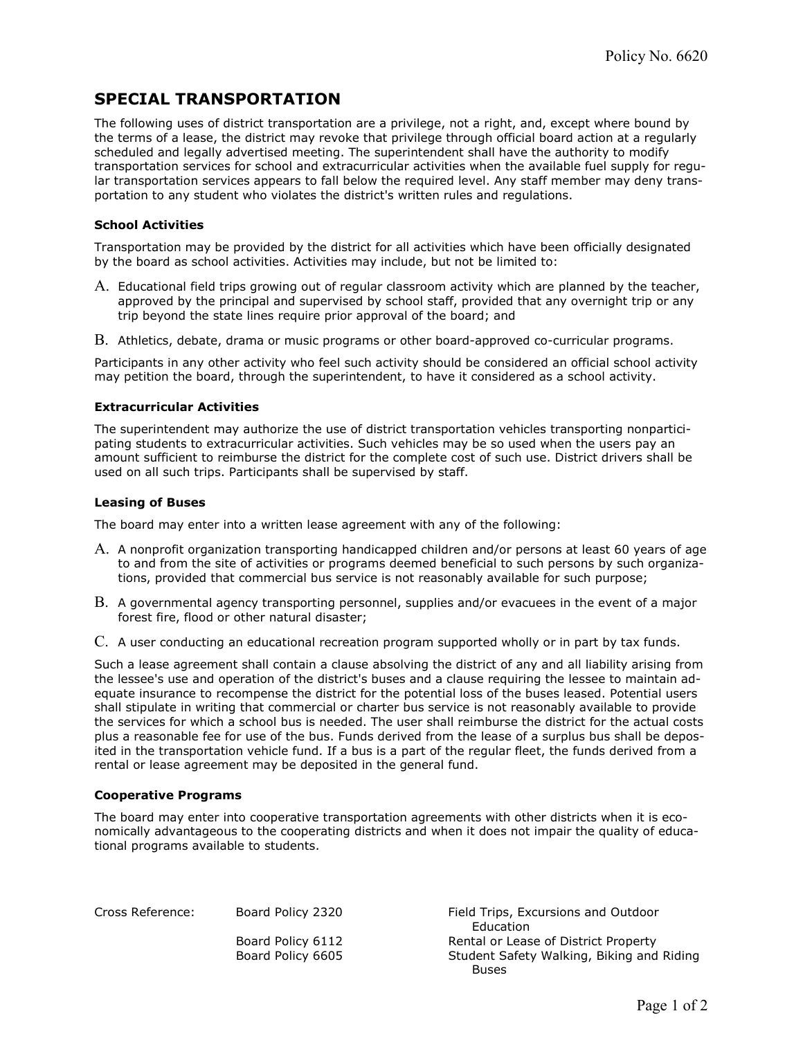# SPECIAL TRANSPORTATION

The following uses of district transportation are a privilege, not a right, and, except where bound by the terms of a lease, the district may revoke that privilege through official board action at a regularly scheduled and legally advertised meeting. The superintendent shall have the authority to modify transportation services for school and extracurricular activities when the available fuel supply for regular transportation services appears to fall below the required level. Any staff member may deny transportation to any student who violates the district's written rules and regulations.

## School Activities

Transportation may be provided by the district for all activities which have been officially designated by the board as school activities. Activities may include, but not be limited to:

- A. Educational field trips growing out of regular classroom activity which are planned by the teacher, approved by the principal and supervised by school staff, provided that any overnight trip or any trip beyond the state lines require prior approval of the board; and
- B. Athletics, debate, drama or music programs or other board-approved co-curricular programs.

Participants in any other activity who feel such activity should be considered an official school activity may petition the board, through the superintendent, to have it considered as a school activity.

### Extracurricular Activities

The superintendent may authorize the use of district transportation vehicles transporting nonparticipating students to extracurricular activities. Such vehicles may be so used when the users pay an amount sufficient to reimburse the district for the complete cost of such use. District drivers shall be used on all such trips. Participants shall be supervised by staff.

### Leasing of Buses

The board may enter into a written lease agreement with any of the following:

- A. A nonprofit organization transporting handicapped children and/or persons at least 60 years of age to and from the site of activities or programs deemed beneficial to such persons by such organizations, provided that commercial bus service is not reasonably available for such purpose;
- B. A governmental agency transporting personnel, supplies and/or evacuees in the event of a major forest fire, flood or other natural disaster;
- C. A user conducting an educational recreation program supported wholly or in part by tax funds.

Such a lease agreement shall contain a clause absolving the district of any and all liability arising from the lessee's use and operation of the district's buses and a clause requiring the lessee to maintain adequate insurance to recompense the district for the potential loss of the buses leased. Potential users shall stipulate in writing that commercial or charter bus service is not reasonably available to provide the services for which a school bus is needed. The user shall reimburse the district for the actual costs plus a reasonable fee for use of the bus. Funds derived from the lease of a surplus bus shall be deposited in the transportation vehicle fund. If a bus is a part of the regular fleet, the funds derived from a rental or lease agreement may be deposited in the general fund.

### Cooperative Programs

The board may enter into cooperative transportation agreements with other districts when it is economically advantageous to the cooperating districts and when it does not impair the quality of educational programs available to students.

Cross Reference: Board Policy 2320 Field Trips, Excursions and Outdoor Education Board Policy 6112 Rental or Lease of District Property Board Policy 6605 Student Safety Walking, Biking and Riding Buses